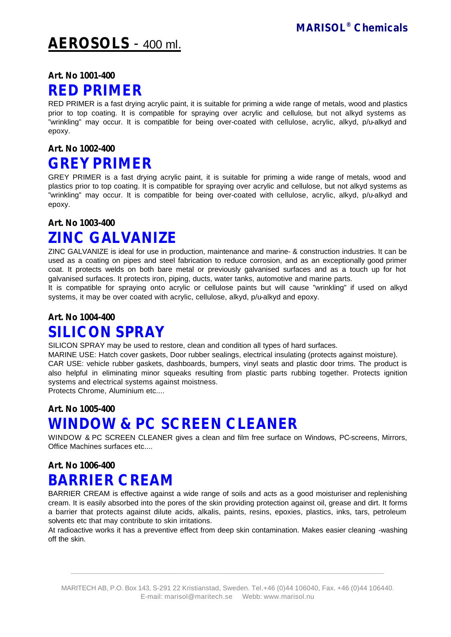# **AEROSOLS** - 400 ml.

### **Art. No 1001-400**

### **RED PRIMER**

RED PRIMER is a fast drying acrylic paint, it is suitable for priming a wide range of metals, wood and plastics prior to top coating. It is compatible for spraying over acrylic and cellulose, but not alkyd systems as "wrinkling" may occur. It is compatible for being over-coated with cellulose, acrylic, alkyd, p/u-alkyd and epoxy.

#### **Art. No 1002-400**

## **GREY PRIMER**

GREY PRIMER is a fast drying acrylic paint, it is suitable for priming a wide range of metals, wood and plastics prior to top coating. It is compatible for spraying over acrylic and cellulose, but not alkyd systems as "wrinkling" may occur. It is compatible for being over-coated with cellulose, acrylic, alkyd, p/u-alkyd and epoxy.

#### **Art. No 1003-400**

# **ZINC GALVANIZE**

ZINC GALVANIZE is ideal for use in production, maintenance and marine- & construction industries. It can be used as a coating on pipes and steel fabrication to reduce corrosion, and as an exceptionally good primer coat. It protects welds on both bare metal or previously galvanised surfaces and as a touch up for hot galvanised surfaces. It protects iron, piping, ducts, water tanks, automotive and marine parts.

It is compatible for spraying onto acrylic or cellulose paints but will cause "wrinkling" if used on alkyd systems, it may be over coated with acrylic, cellulose, alkyd, p/u-alkyd and epoxy.

## **Art. No 1004-400 SILICON SPRAY**

SILICON SPRAY may be used to restore, clean and condition all types of hard surfaces.

MARINE USE: Hatch cover gaskets, Door rubber sealings, electrical insulating (protects against moisture). CAR USE: vehicle rubber gaskets, dashboards, bumpers, vinyl seats and plastic door trims. The product is also helpful in eliminating minor squeaks resulting from plastic parts rubbing together. Protects ignition systems and electrical systems against moistness.

Protects Chrome, Aluminium etc....

### **Art. No 1005-400 WINDOW & PC SCREEN CLEANER**

WINDOW & PC SCREEN CLEANER gives a clean and film free surface on Windows, PC-screens, Mirrors, Office Machines surfaces etc....

## **Art. No 1006-400 BARRIER CREAM**

BARRIER CREAM is effective against a wide range of soils and acts as a good moisturiser and replenishing cream. It is easily absorbed into the pores of the skin providing protection against oil, grease and dirt. It forms a barrier that protects against dilute acids, alkalis, paints, resins, epoxies, plastics, inks, tars, petroleum solvents etc that may contribute to skin irritations.

At radioactive works it has a preventive effect from deep skin contamination. Makes easier cleaning -washing off the skin.

 $\_$  ,  $\_$  ,  $\_$  ,  $\_$  ,  $\_$  ,  $\_$  ,  $\_$  ,  $\_$  ,  $\_$  ,  $\_$  ,  $\_$  ,  $\_$  ,  $\_$  ,  $\_$  ,  $\_$  ,  $\_$  ,  $\_$  ,  $\_$  ,  $\_$  ,  $\_$  ,  $\_$  ,  $\_$  ,  $\_$  ,  $\_$  ,  $\_$  ,  $\_$  ,  $\_$  ,  $\_$  ,  $\_$  ,  $\_$  ,  $\_$  ,  $\_$  ,  $\_$  ,  $\_$  ,  $\_$  ,  $\_$  ,  $\_$  ,